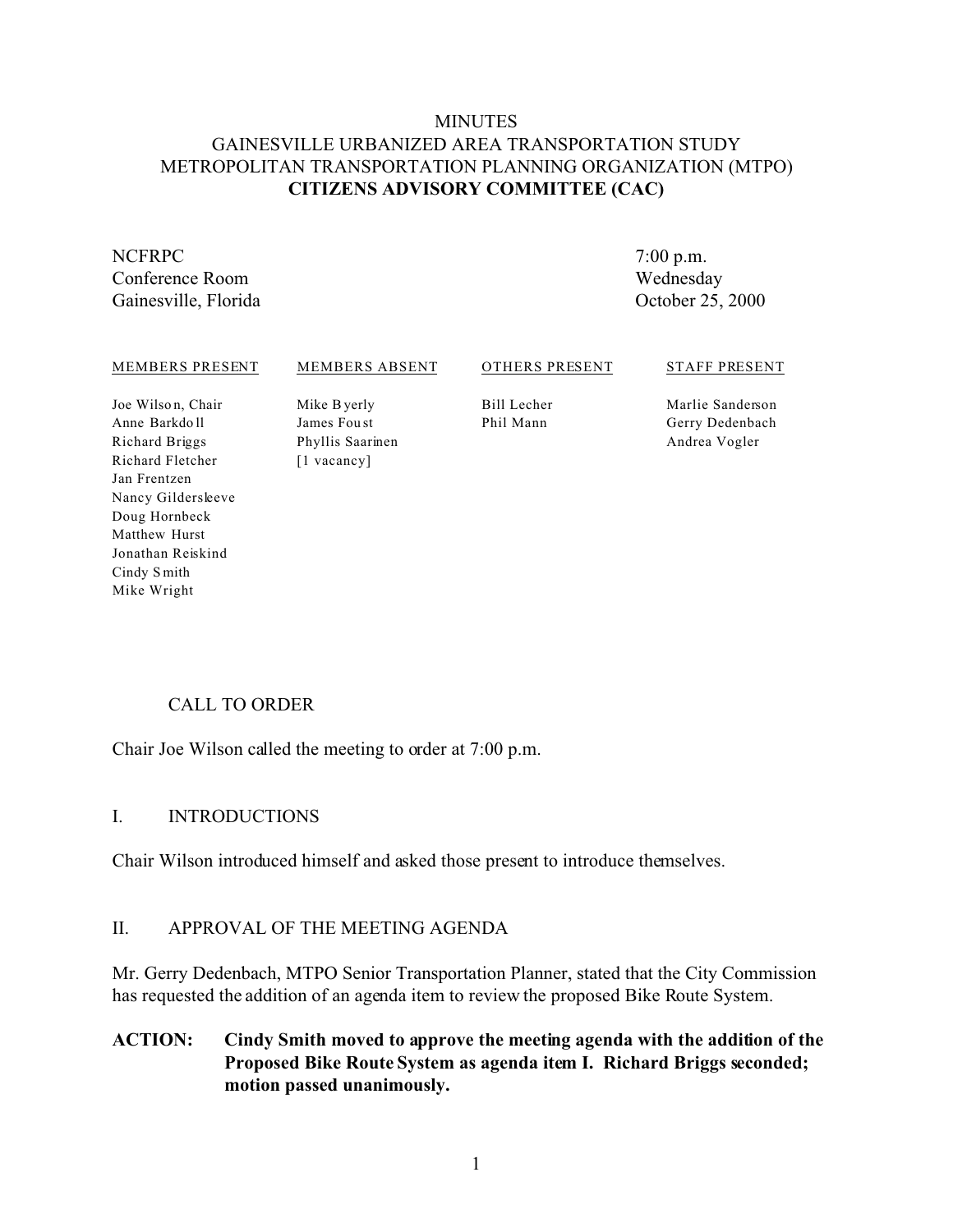## **MINUTES** GAINESVILLE URBANIZED AREA TRANSPORTATION STUDY METROPOLITAN TRANSPORTATION PLANNING ORGANIZATION (MTPO) **CITIZENS ADVISORY COMMITTEE (CAC)**

# NCFRPC Conference Room

Gainesville, Florida

7:00 p.m. Wednesday October 25, 2000

#### MEMBERS PRESENT

#### MEMBERS ABSENT

#### OTHERS PRESENT

#### STAFF PRESENT

Joe Wilso n, Chair Anne Barkdo ll Richard Briggs Richard Fletcher Jan Frentzen Nancy Gildersleeve Doug Hornbeck Matthew Hurst Jonathan Reiskind Cindy S mith Mike Wright

Mike Byerly James Fou st Phyllis Saarinen [1 vacancy]

Bill Lecher Phil Mann

Marlie Sanderson Gerry Dedenbach Andrea Vogler

# CALL TO ORDER

Chair Joe Wilson called the meeting to order at 7:00 p.m.

## I. INTRODUCTIONS

Chair Wilson introduced himself and asked those present to introduce themselves.

## II. APPROVAL OF THE MEETING AGENDA

Mr. Gerry Dedenbach, MTPO Senior Transportation Planner, stated that the City Commission has requested the addition of an agenda item to review the proposed Bike Route System.

**ACTION: Cindy Smith moved to approve the meeting agenda with the addition of the Proposed Bike Route System as agenda item I. Richard Briggs seconded; motion passed unanimously.**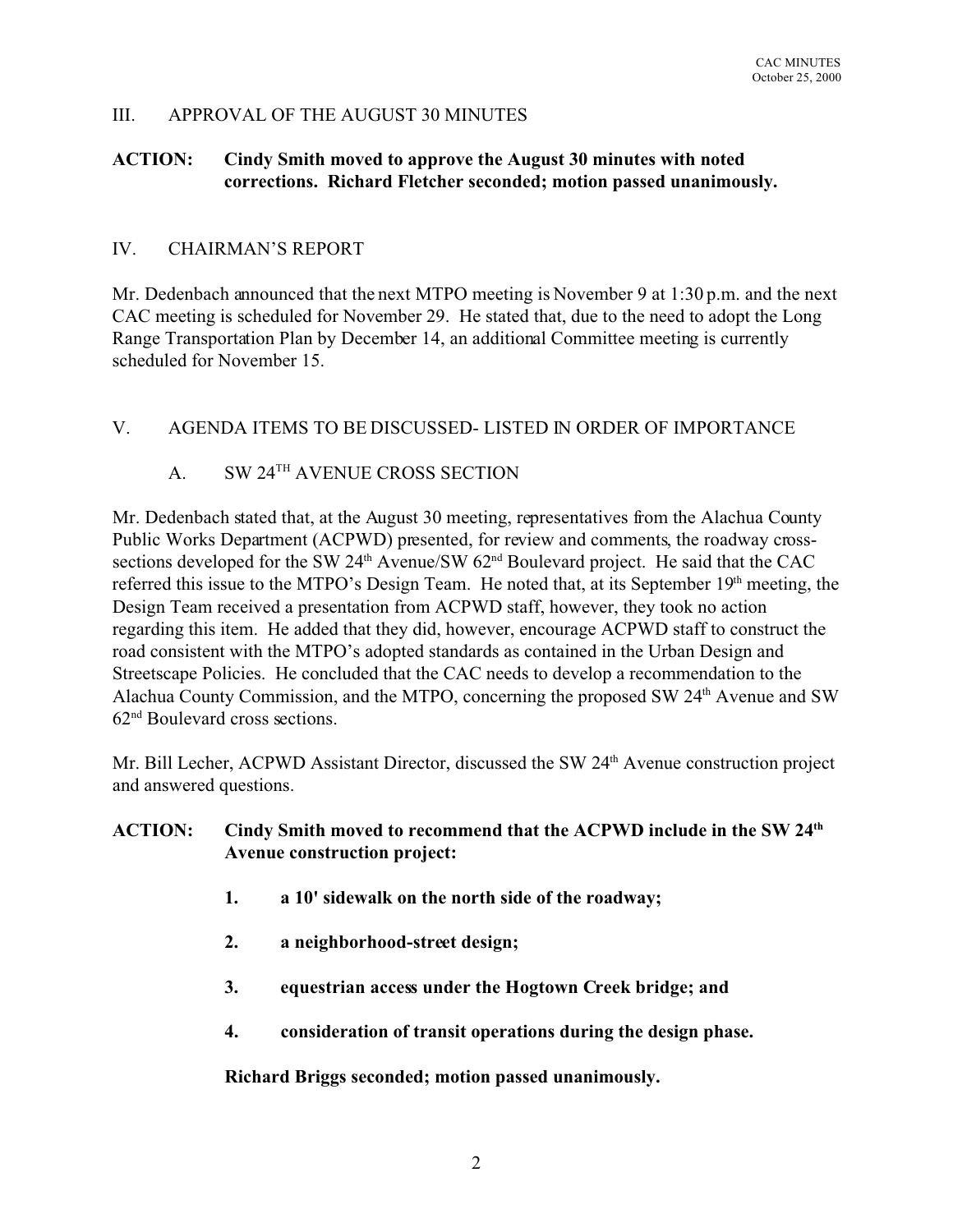## III. APPROVAL OF THE AUGUST 30 MINUTES

## **ACTION: Cindy Smith moved to approve the August 30 minutes with noted corrections. Richard Fletcher seconded; motion passed unanimously.**

### IV. CHAIRMAN'S REPORT

Mr. Dedenbach announced that the next MTPO meeting is November 9 at 1:30 p.m. and the next CAC meeting is scheduled for November 29. He stated that, due to the need to adopt the Long Range Transportation Plan by December 14, an additional Committee meeting is currently scheduled for November 15.

## V. AGENDA ITEMS TO BE DISCUSSED- LISTED IN ORDER OF IMPORTANCE

## A. SW 24TH AVENUE CROSS SECTION

Mr. Dedenbach stated that, at the August 30 meeting, representatives from the Alachua County Public Works Department (ACPWD) presented, for review and comments, the roadway crosssections developed for the SW 24<sup>th</sup> Avenue/SW 62<sup>nd</sup> Boulevard project. He said that the CAC referred this issue to the MTPO's Design Team. He noted that, at its September 19<sup>th</sup> meeting, the Design Team received a presentation from ACPWD staff, however, they took no action regarding this item. He added that they did, however, encourage ACPWD staff to construct the road consistent with the MTPO's adopted standards as contained in the Urban Design and Streetscape Policies. He concluded that the CAC needs to develop a recommendation to the Alachua County Commission, and the MTPO, concerning the proposed SW 24<sup>th</sup> Avenue and SW 62nd Boulevard cross sections.

Mr. Bill Lecher, ACPWD Assistant Director, discussed the SW 24<sup>th</sup> Avenue construction project and answered questions.

## **ACTION: Cindy Smith moved to recommend that the ACPWD include in the SW 24th Avenue construction project:**

- **1. a 10' sidewalk on the north side of the roadway;**
- **2. a neighborhood-street design;**
- **3. equestrian access under the Hogtown Creek bridge; and**
- **4. consideration of transit operations during the design phase.**

**Richard Briggs seconded; motion passed unanimously.**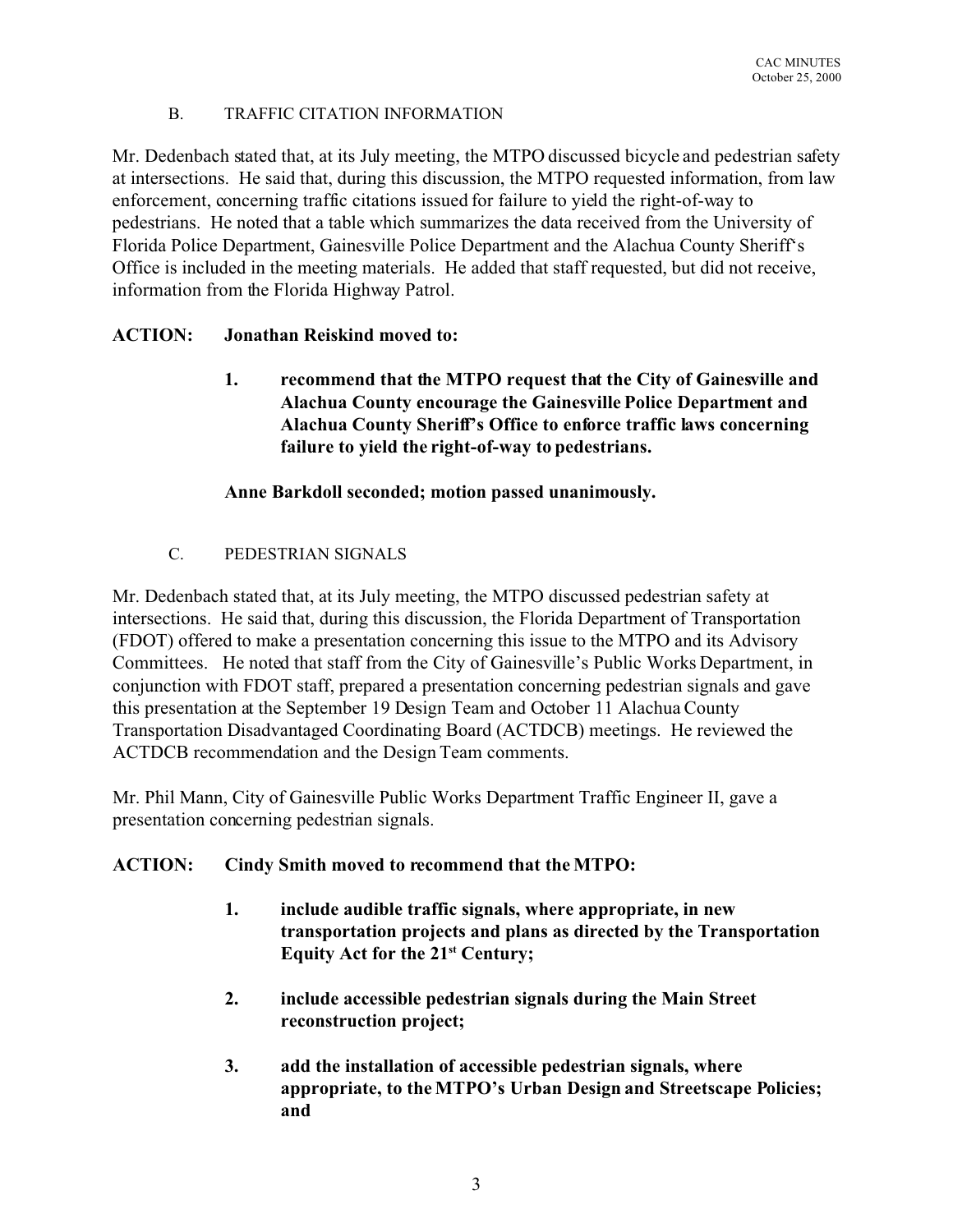#### B. TRAFFIC CITATION INFORMATION

Mr. Dedenbach stated that, at its July meeting, the MTPO discussed bicycle and pedestrian safety at intersections. He said that, during this discussion, the MTPO requested information, from law enforcement, concerning traffic citations issued for failure to yield the right-of-way to pedestrians. He noted that a table which summarizes the data received from the University of Florida Police Department, Gainesville Police Department and the Alachua County Sheriff's Office is included in the meeting materials. He added that staff requested, but did not receive, information from the Florida Highway Patrol.

## **ACTION: Jonathan Reiskind moved to:**

**1. recommend that the MTPO request that the City of Gainesville and Alachua County encourage the Gainesville Police Department and Alachua County Sheriff's Office to enforce traffic laws concerning failure to yield the right-of-way to pedestrians.**

## **Anne Barkdoll seconded; motion passed unanimously.**

C. PEDESTRIAN SIGNALS

Mr. Dedenbach stated that, at its July meeting, the MTPO discussed pedestrian safety at intersections. He said that, during this discussion, the Florida Department of Transportation (FDOT) offered to make a presentation concerning this issue to the MTPO and its Advisory Committees. He noted that staff from the City of Gainesville's Public Works Department, in conjunction with FDOT staff, prepared a presentation concerning pedestrian signals and gave this presentation at the September 19 Design Team and October 11 Alachua County Transportation Disadvantaged Coordinating Board (ACTDCB) meetings. He reviewed the ACTDCB recommendation and the Design Team comments.

Mr. Phil Mann, City of Gainesville Public Works Department Traffic Engineer II, gave a presentation concerning pedestrian signals.

# **ACTION: Cindy Smith moved to recommend that the MTPO:**

- **1. include audible traffic signals, where appropriate, in new transportation projects and plans as directed by the Transportation Equity Act for the 21st Century;**
- **2. include accessible pedestrian signals during the Main Street reconstruction project;**
- **3. add the installation of accessible pedestrian signals, where appropriate, to the MTPO's Urban Design and Streetscape Policies; and**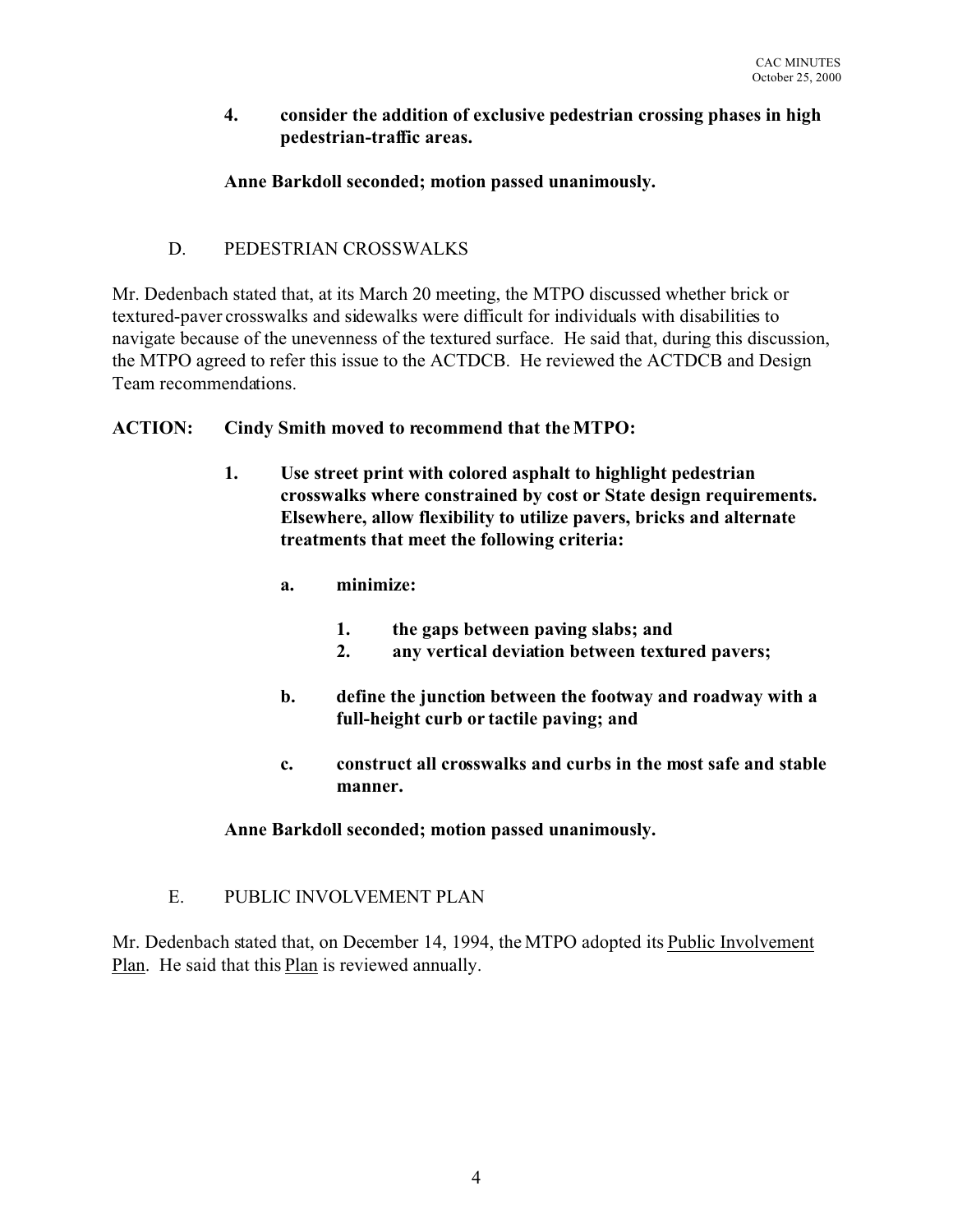#### **4. consider the addition of exclusive pedestrian crossing phases in high pedestrian-traffic areas.**

## **Anne Barkdoll seconded; motion passed unanimously.**

## D. PEDESTRIAN CROSSWALKS

Mr. Dedenbach stated that, at its March 20 meeting, the MTPO discussed whether brick or textured-paver crosswalks and sidewalks were difficult for individuals with disabilities to navigate because of the unevenness of the textured surface. He said that, during this discussion, the MTPO agreed to refer this issue to the ACTDCB. He reviewed the ACTDCB and Design Team recommendations.

## **ACTION: Cindy Smith moved to recommend that the MTPO:**

- **1. Use street print with colored asphalt to highlight pedestrian crosswalks where constrained by cost or State design requirements. Elsewhere, allow flexibility to utilize pavers, bricks and alternate treatments that meet the following criteria:**
	- **a. minimize:**
		- **1. the gaps between paving slabs; and**
		- **2. any vertical deviation between textured pavers;**
	- **b. define the junction between the footway and roadway with a full-height curb or tactile paving; and**
	- **c. construct all crosswalks and curbs in the most safe and stable manner.**

**Anne Barkdoll seconded; motion passed unanimously.**

# E. PUBLIC INVOLVEMENT PLAN

Mr. Dedenbach stated that, on December 14, 1994, the MTPO adopted its Public Involvement Plan. He said that this Plan is reviewed annually.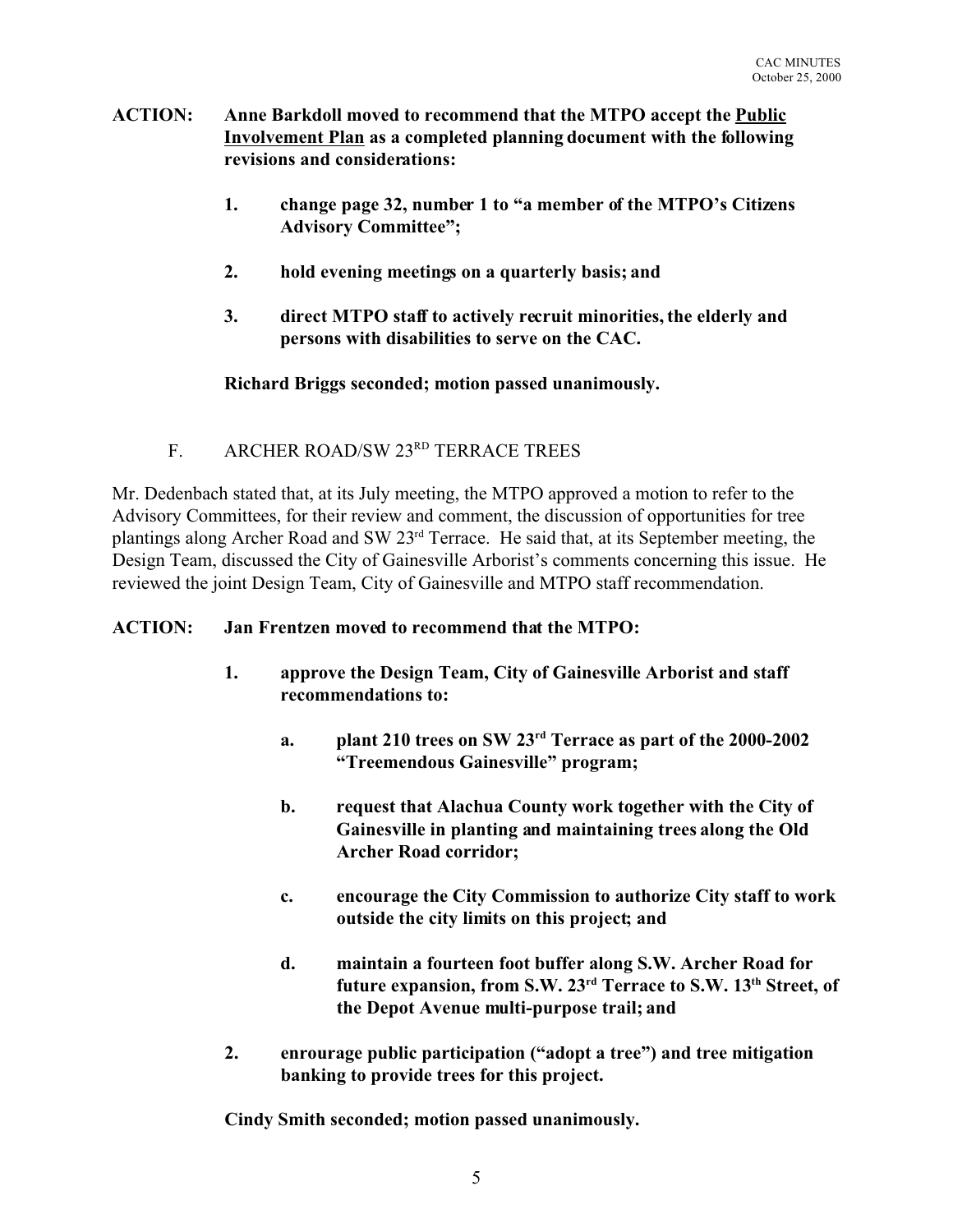- **ACTION: Anne Barkdoll moved to recommend that the MTPO accept the Public Involvement Plan as a completed planning document with the following revisions and considerations:**
	- **1. change page 32, number 1 to "a member of the MTPO's Citizens Advisory Committee";**
	- **2. hold evening meetings on a quarterly basis; and**
	- **3. direct MTPO staff to actively recruit minorities, the elderly and persons with disabilities to serve on the CAC.**

## **Richard Briggs seconded; motion passed unanimously.**

F. ARCHER ROAD/SW 23RD TERRACE TREES

Mr. Dedenbach stated that, at its July meeting, the MTPO approved a motion to refer to the Advisory Committees, for their review and comment, the discussion of opportunities for tree plantings along Archer Road and SW 23rd Terrace. He said that, at its September meeting, the Design Team, discussed the City of Gainesville Arborist's comments concerning this issue. He reviewed the joint Design Team, City of Gainesville and MTPO staff recommendation.

## **ACTION: Jan Frentzen moved to recommend that the MTPO:**

- **1. approve the Design Team, City of Gainesville Arborist and staff recommendations to:**
	- **a. plant 210 trees on SW 23rd Terrace as part of the 2000-2002 "Treemendous Gainesville" program;**
	- **b. request that Alachua County work together with the City of Gainesville in planting and maintaining trees along the Old Archer Road corridor;**
	- **c. encourage the City Commission to authorize City staff to work outside the city limits on this project; and**
	- **d. maintain a fourteen foot buffer along S.W. Archer Road for future expansion, from S.W. 23rd Terrace to S.W. 13th Street, of the Depot Avenue multi-purpose trail; and**
- **2. enrourage public participation ("adopt a tree") and tree mitigation banking to provide trees for this project.**

**Cindy Smith seconded; motion passed unanimously.**